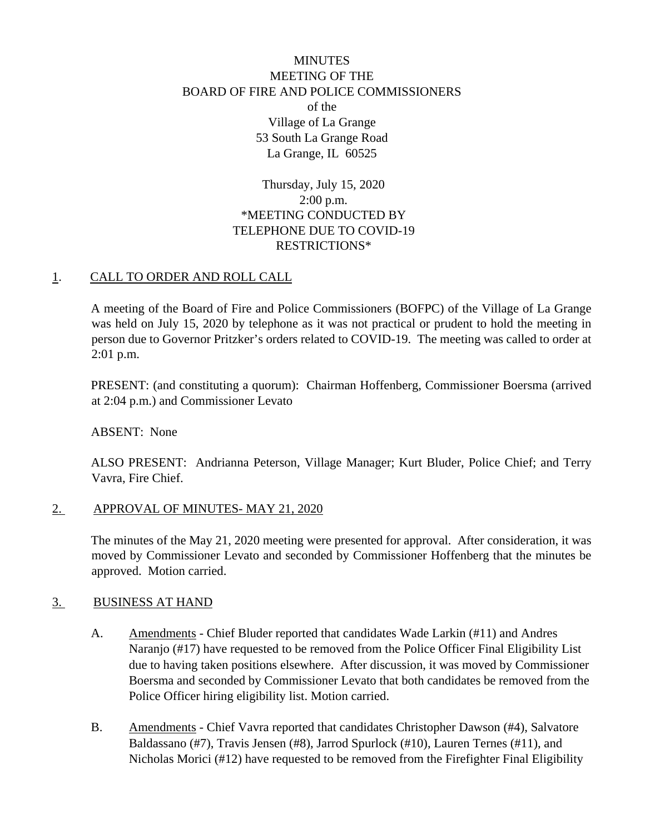# **MINUTES** MEETING OF THE BOARD OF FIRE AND POLICE COMMISSIONERS of the Village of La Grange 53 South La Grange Road La Grange, IL 60525

Thursday, July 15, 2020 2:00 p.m. \*MEETING CONDUCTED BY TELEPHONE DUE TO COVID-19 RESTRICTIONS\*

## 1. CALL TO ORDER AND ROLL CALL

A meeting of the Board of Fire and Police Commissioners (BOFPC) of the Village of La Grange was held on July 15, 2020 by telephone as it was not practical or prudent to hold the meeting in person due to Governor Pritzker's orders related to COVID-19. The meeting was called to order at 2:01 p.m.

PRESENT: (and constituting a quorum): Chairman Hoffenberg, Commissioner Boersma (arrived at 2:04 p.m.) and Commissioner Levato

ABSENT: None

ALSO PRESENT: Andrianna Peterson, Village Manager; Kurt Bluder, Police Chief; and Terry Vavra, Fire Chief.

## 2. APPROVAL OF MINUTES- MAY 21, 2020

The minutes of the May 21, 2020 meeting were presented for approval. After consideration, it was moved by Commissioner Levato and seconded by Commissioner Hoffenberg that the minutes be approved. Motion carried.

## 3. BUSINESS AT HAND

- A. Amendments Chief Bluder reported that candidates Wade Larkin (#11) and Andres Naranjo (#17) have requested to be removed from the Police Officer Final Eligibility List due to having taken positions elsewhere. After discussion, it was moved by Commissioner Boersma and seconded by Commissioner Levato that both candidates be removed from the Police Officer hiring eligibility list. Motion carried.
- B. Amendments Chief Vavra reported that candidates Christopher Dawson (#4), Salvatore Baldassano (#7), Travis Jensen (#8), Jarrod Spurlock (#10), Lauren Ternes (#11), and Nicholas Morici (#12) have requested to be removed from the Firefighter Final Eligibility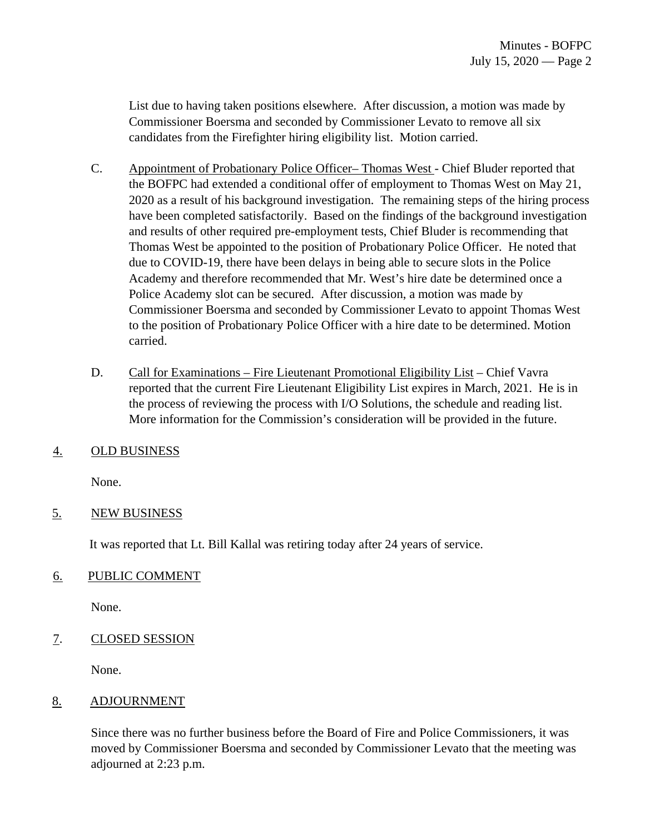List due to having taken positions elsewhere. After discussion, a motion was made by Commissioner Boersma and seconded by Commissioner Levato to remove all six candidates from the Firefighter hiring eligibility list. Motion carried.

- C. Appointment of Probationary Police Officer– Thomas West Chief Bluder reported that the BOFPC had extended a conditional offer of employment to Thomas West on May 21, 2020 as a result of his background investigation. The remaining steps of the hiring process have been completed satisfactorily. Based on the findings of the background investigation and results of other required pre-employment tests, Chief Bluder is recommending that Thomas West be appointed to the position of Probationary Police Officer. He noted that due to COVID-19, there have been delays in being able to secure slots in the Police Academy and therefore recommended that Mr. West's hire date be determined once a Police Academy slot can be secured. After discussion, a motion was made by Commissioner Boersma and seconded by Commissioner Levato to appoint Thomas West to the position of Probationary Police Officer with a hire date to be determined. Motion carried.
- D. Call for Examinations Fire Lieutenant Promotional Eligibility List Chief Vavra reported that the current Fire Lieutenant Eligibility List expires in March, 2021. He is in the process of reviewing the process with I/O Solutions, the schedule and reading list. More information for the Commission's consideration will be provided in the future.
- 4. OLD BUSINESS

None.

## 5. NEW BUSINESS

It was reported that Lt. Bill Kallal was retiring today after 24 years of service.

## 6. PUBLIC COMMENT

None.

## 7. CLOSED SESSION

None.

## 8. ADJOURNMENT

Since there was no further business before the Board of Fire and Police Commissioners, it was moved by Commissioner Boersma and seconded by Commissioner Levato that the meeting was adjourned at 2:23 p.m.